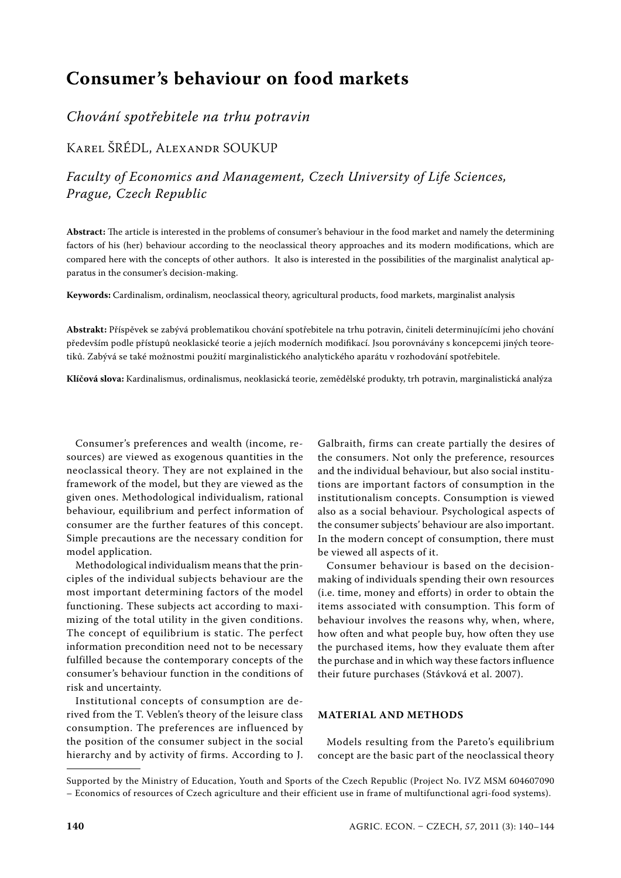# **Consumer's behaviour on food markets**

# *Chování spotřebitele na trhu potravin*

# Karel ŠRÉDL, Alexandr SOUKUP

*Faculty of Economics and Management, Czech University of Life Sciences, Prague, Czech Republic*

**Abstract:** The article is interested in the problems of consumer's behaviour in the food market and namely the determining factors of his (her) behaviour according to the neoclassical theory approaches and its modern modifications, which are compared here with the concepts of other authors. It also is interested in the possibilities of the marginalist analytical apparatus in the consumer's decision-making.

**Keywords:** Cardinalism, ordinalism, neoclassical theory, agricultural products, food markets, marginalist analysis

**Abstrakt:** Příspěvek se zabývá problematikou chování spotřebitele na trhu potravin, činiteli determinujícími jeho chování především podle přístupů neoklasické teorie a jejích moderních modifikací. Jsou porovnávány s koncepcemi jiných teoretiků. Zabývá se také možnostmi použití marginalistického analytického aparátu v rozhodování spotřebitele.

**Klíčová slova:** Kardinalismus, ordinalismus, neoklasická teorie, zemědělské produkty, trh potravin, marginalistická analýza

Consumer's preferences and wealth (income, resources) are viewed as exogenous quantities in the neoclassical theory. They are not explained in the framework of the model, but they are viewed as the given ones. Methodological individualism, rational behaviour, equilibrium and perfect information of consumer are the further features of this concept. Simple precautions are the necessary condition for model application.

Methodological individualism means that the principles of the individual subjects behaviour are the most important determining factors of the model functioning. These subjects act according to maximizing of the total utility in the given conditions. The concept of equilibrium is static. The perfect information precondition need not to be necessary fulfilled because the contemporary concepts of the consumer's behaviour function in the conditions of risk and uncertainty.

Institutional concepts of consumption are derived from the T. Veblen's theory of the leisure class consumption. The preferences are influenced by the position of the consumer subject in the social hierarchy and by activity of firms. According to J.

Galbraith, firms can create partially the desires of the consumers. Not only the preference, resources and the individual behaviour, but also social institutions are important factors of consumption in the institutionalism concepts. Consumption is viewed also as a social behaviour. Psychological aspects of the consumer subjects' behaviour are also important. In the modern concept of consumption, there must be viewed all aspects of it.

Consumer behaviour is based on the decisionmaking of individuals spending their own resources (i.e. time, money and efforts) in order to obtain the items associated with consumption. This form of behaviour involves the reasons why, when, where, how often and what people buy, how often they use the purchased items, how they evaluate them after the purchase and in which way these factors influence their future purchases (Stávková et al. 2007).

# **MATERIAL AND METHODS**

Models resulting from the Pareto's equilibrium concept are the basic part of the neoclassical theory

Supported by the Ministry of Education, Youth and Sports of the Czech Republic (Project No. IVZ MSM 604607090 – Economics of resources of Czech agriculture and their efficient use in frame of multifunctional agri-food systems).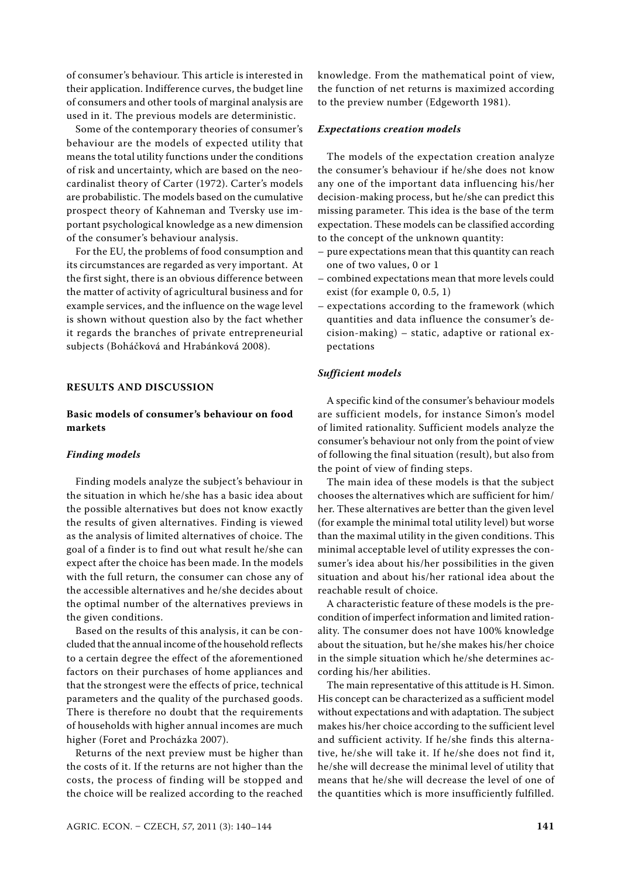of consumer's behaviour. This article is interested in their application. Indifference curves, the budget line of consumers and other tools of marginal analysis are used in it. The previous models are deterministic.

Some of the contemporary theories of consumer's behaviour are the models of expected utility that means the total utility functions under the conditions of risk and uncertainty, which are based on the neocardinalist theory of Carter (1972). Carter's models are probabilistic. The models based on the cumulative prospect theory of Kahneman and Tversky use important psychological knowledge as a new dimension of the consumer's behaviour analysis.

For the EU, the problems of food consumption and its circumstances are regarded as very important. At the first sight, there is an obvious difference between the matter of activity of agricultural business and for example services, and the influence on the wage level is shown without question also by the fact whether it regards the branches of private entrepreneurial subjects (Boháčková and Hrabánková 2008).

## **RESULTS AND DISCUSSION**

# **Basic models of consumer's behaviour on food markets**

#### *Finding models*

Finding models analyze the subject's behaviour in the situation in which he/she has a basic idea about the possible alternatives but does not know exactly the results of given alternatives. Finding is viewed as the analysis of limited alternatives of choice. The goal of a finder is to find out what result he/she can expect after the choice has been made. In the models with the full return, the consumer can chose any of the accessible alternatives and he/she decides about the optimal number of the alternatives previews in the given conditions.

Based on the results of this analysis, it can be concluded that the annual income of the household reflects to a certain degree the effect of the aforementioned factors on their purchases of home appliances and that the strongest were the effects of price, technical parameters and the quality of the purchased goods. There is therefore no doubt that the requirements of households with higher annual incomes are much higher (Foret and Procházka 2007).

Returns of the next preview must be higher than the costs of it. If the returns are not higher than the costs, the process of finding will be stopped and the choice will be realized according to the reached knowledge. From the mathematical point of view, the function of net returns is maximized according to the preview number (Edgeworth 1981).

#### *Expectations creation models*

The models of the expectation creation analyze the consumer's behaviour if he/she does not know any one of the important data influencing his/her decision-making process, but he/she can predict this missing parameter. This idea is the base of the term expectation. These models can be classified according to the concept of the unknown quantity:

- pure expectations mean that this quantity can reach one of two values, 0 or 1
- combined expectations mean that more levels could exist (for example 0, 0.5, 1)
- expectations according to the framework (which quantities and data influence the consumer's decision-making) – static, adaptive or rational expectations

#### *Sufficient models*

A specific kind of the consumer's behaviour models are sufficient models, for instance Simon's model of limited rationality. Sufficient models analyze the consumer's behaviour not only from the point of view of following the final situation (result), but also from the point of view of finding steps.

The main idea of these models is that the subject chooses the alternatives which are sufficient for him/ her. These alternatives are better than the given level (for example the minimal total utility level) but worse than the maximal utility in the given conditions. This minimal acceptable level of utility expresses the consumer's idea about his/her possibilities in the given situation and about his/her rational idea about the reachable result of choice.

A characteristic feature of these models is the precondition of imperfect information and limited rationality. The consumer does not have 100% knowledge about the situation, but he/she makes his/her choice in the simple situation which he/she determines according his/her abilities.

The main representative of this attitude is H. Simon. His concept can be characterized as a sufficient model without expectations and with adaptation. The subject makes his/her choice according to the sufficient level and sufficient activity. If he/she finds this alternative, he/she will take it. If he/she does not find it, he/she will decrease the minimal level of utility that means that he/she will decrease the level of one of the quantities which is more insufficiently fulfilled.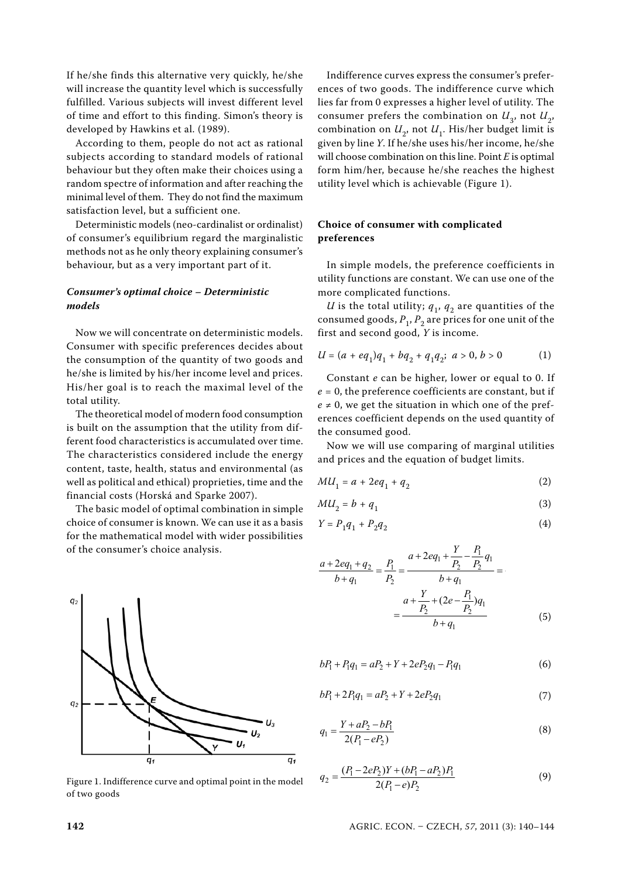If he/she finds this alternative very quickly, he/she will increase the quantity level which is successfully fulfilled. Various subjects will invest different level of time and effort to this finding. Simon's theory is developed by Hawkins et al. (1989).

According to them, people do not act as rational subjects according to standard models of rational behaviour but they often make their choices using a random spectre of information and after reaching the minimal level of them. They do not find the maximum satisfaction level, but a sufficient one.

Deterministic models (neo-cardinalist or ordinalist) of consumer's equilibrium regard the marginalistic methods not as he only theory explaining consumer's behaviour, but as a very important part of it.

# *Consumer's optimal choice – Deterministic models*

Now we will concentrate on deterministic models. Consumer with specific preferences decides about the consumption of the quantity of two goods and he/she is limited by his/her income level and prices. His/her goal is to reach the maximal level of the total utility.

The theoretical model of modern food consumption is built on the assumption that the utility from different food characteristics is accumulated over time. The characteristics considered include the energy content, taste, health, status and environmental (as well as political and ethical) proprieties, time and the financial costs (Horská and Sparke 2007).

The basic model of optimal combination in simple choice of consumer is known. We can use it as a basis for the mathematical model with wider possibilities of the consumer's choice analysis.



Figure 1. Indifference curve and optimal point in the model of two goods

Indifference curves express the consumer's preferences of two goods. The indifference curve which lies far from 0 expresses a higher level of utility. The consumer prefers the combination on  $U_3$ , not  $U_2$ , combination on  $U_2$ , not  $U_1$ . His/her budget limit is given by line *Y*. If he/she uses his/her income, he/she will choose combination on this line. Point *E* is optimal form him/her, because he/she reaches the highest utility level which is achievable (Figure 1).

# **Choice of consumer with complicated preferences**

In simple models, the preference coefficients in utility functions are constant. We can use one of the more complicated functions.

*U* is the total utility;  $q_1$ ,  $q_2$  are quantities of the consumed goods,  $P_1$ ,  $P_2$  are prices for one unit of the first and second good, *Y* is income.

$$
U = (a + eq1)q1 + bq2 + q1q2; a > 0, b > 0
$$
 (1)

Constant *e* can be higher, lower or equal to 0. If *e* = 0, the preference coefficients are constant, but if  $e \neq 0$ , we get the situation in which one of the preferences coefficient depends on the used quantity of the consumed good.

Now we will use comparing of marginal utilities and prices and the equation of budget limits.

$$
MU_1 = a + 2eq_1 + q_2 \tag{2}
$$

$$
MU_2 = b + q_1 \tag{3}
$$

$$
Y = P_1 q_1 + P_2 q_2 \tag{4}
$$

$$
\frac{a+2eq_1+q_2}{b+q_1} = \frac{P_1}{P_2} = \frac{a+2eq_1+\frac{Y}{P_2}-\frac{P_1}{P_2}q_1}{b+q_1} = \frac{a+\frac{Y}{P_2}+(2e-\frac{P_1}{P_2})q_1}{b+q_1}
$$
(5)

$$
bP_1 + P_1q_1 = aP_2 + Y + 2eP_2q_1 - P_1q_1 \tag{6}
$$

$$
bP_1 + 2P_1q_1 = aP_2 + Y + 2eP_2q_1 \tag{7}
$$

$$
q_1 = \frac{Y + aP_2 - bP_1}{2(P_1 - eP_2)}\tag{8}
$$

$$
q_2 = \frac{(P_1 - 2eP_2)Y + (bP_1 - aP_2)P_1}{2(P_1 - e)P_2} \tag{9}
$$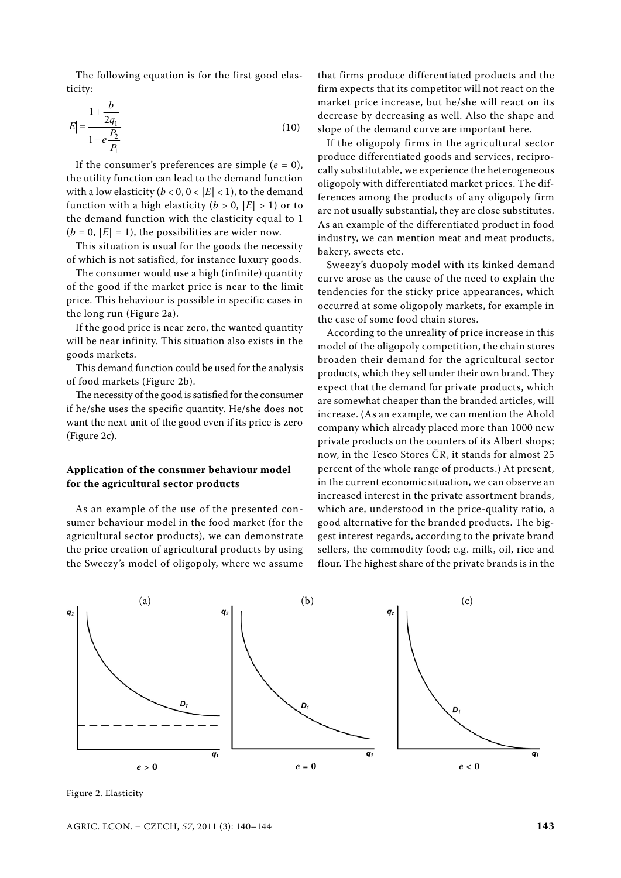The following equation is for the first good elasticity:

$$
|E| = \frac{1 + \frac{b}{2q_1}}{1 - e\frac{P_2}{P_1}}
$$
(10)

If the consumer's preferences are simple  $(e = 0)$ , the utility function can lead to the demand function with a low elasticity ( $b < 0$ ,  $0 < |E| < 1$ ), to the demand function with a high elasticity ( $b > 0$ ,  $|E| > 1$ ) or to the demand function with the elasticity equal to 1  $(b = 0, |E| = 1)$ , the possibilities are wider now.

This situation is usual for the goods the necessity of which is not satisfied, for instance luxury goods.

The consumer would use a high (infinite) quantity of the good if the market price is near to the limit price. This behaviour is possible in specific cases in the long run (Figure 2a).

If the good price is near zero, the wanted quantity will be near infinity. This situation also exists in the goods markets.

This demand function could be used for the analysis of food markets (Figure 2b).

The necessity of the good is satisfied for the consumer if he/she uses the specific quantity. He/she does not want the next unit of the good even if its price is zero (Figure 2c).

# **Application of the consumer behaviour model for the agricultural sector products**

As an example of the use of the presented consumer behaviour model in the food market (for the agricultural sector products), we can demonstrate the price creation of agricultural products by using the Sweezy's model of oligopoly, where we assume that firms produce differentiated products and the firm expects that its competitor will not react on the market price increase, but he/she will react on its decrease by decreasing as well. Also the shape and slope of the demand curve are important here.

If the oligopoly firms in the agricultural sector produce differentiated goods and services, reciprocally substitutable, we experience the heterogeneous oligopoly with differentiated market prices. The differences among the products of any oligopoly firm are not usually substantial, they are close substitutes. As an example of the differentiated product in food industry, we can mention meat and meat products, bakery, sweets etc.

Sweezy's duopoly model with its kinked demand curve arose as the cause of the need to explain the tendencies for the sticky price appearances, which occurred at some oligopoly markets, for example in the case of some food chain stores.

According to the unreality of price increase in this model of the oligopoly competition, the chain stores broaden their demand for the agricultural sector products, which they sell under their own brand. They expect that the demand for private products, which are somewhat cheaper than the branded articles, will increase. (As an example, we can mention the Ahold company which already placed more than 1000 new private products on the counters of its Albert shops; now, in the Tesco Stores ČR, it stands for almost 25 percent of the whole range of products.) At present, in the current economic situation, we can observe an increased interest in the private assortment brands, which are, understood in the price-quality ratio, a good alternative for the branded products. The biggest interest regards, according to the private brand sellers, the commodity food; e.g. milk, oil, rice and flour. The highest share of the private brands is in the



Figure 2. Elasticity